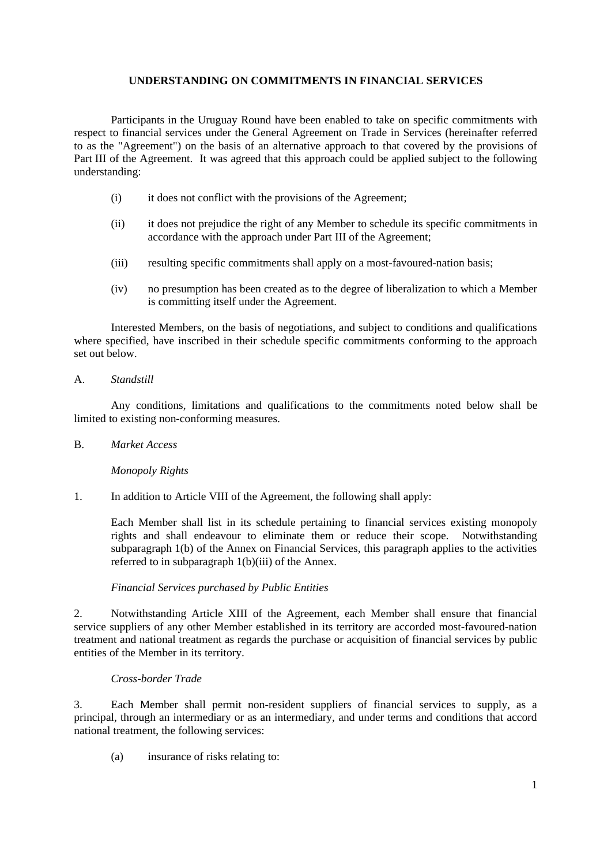### **UNDERSTANDING ON COMMITMENTS IN FINANCIAL SERVICES**

Participants in the Uruguay Round have been enabled to take on specific commitments with respect to financial services under the General Agreement on Trade in Services (hereinafter referred to as the "Agreement") on the basis of an alternative approach to that covered by the provisions of Part III of the Agreement. It was agreed that this approach could be applied subject to the following understanding:

- (i) it does not conflict with the provisions of the Agreement;
- (ii) it does not prejudice the right of any Member to schedule its specific commitments in accordance with the approach under Part III of the Agreement;
- (iii) resulting specific commitments shall apply on a most-favoured-nation basis;
- (iv) no presumption has been created as to the degree of liberalization to which a Member is committing itself under the Agreement.

Interested Members, on the basis of negotiations, and subject to conditions and qualifications where specified, have inscribed in their schedule specific commitments conforming to the approach set out below.

#### A. *Standstill*

Any conditions, limitations and qualifications to the commitments noted below shall be limited to existing non-conforming measures.

B. *Market Access*

#### *Monopoly Rights*

1. In addition to Article VIII of the Agreement, the following shall apply:

Each Member shall list in its schedule pertaining to financial services existing monopoly rights and shall endeavour to eliminate them or reduce their scope. Notwithstanding subparagraph 1(b) of the Annex on Financial Services, this paragraph applies to the activities referred to in subparagraph 1(b)(iii) of the Annex.

#### *Financial Services purchased by Public Entities*

2. Notwithstanding Article XIII of the Agreement, each Member shall ensure that financial service suppliers of any other Member established in its territory are accorded most-favoured-nation treatment and national treatment as regards the purchase or acquisition of financial services by public entities of the Member in its territory.

#### *Cross-border Trade*

3. Each Member shall permit non-resident suppliers of financial services to supply, as a principal, through an intermediary or as an intermediary, and under terms and conditions that accord national treatment, the following services:

(a) insurance of risks relating to: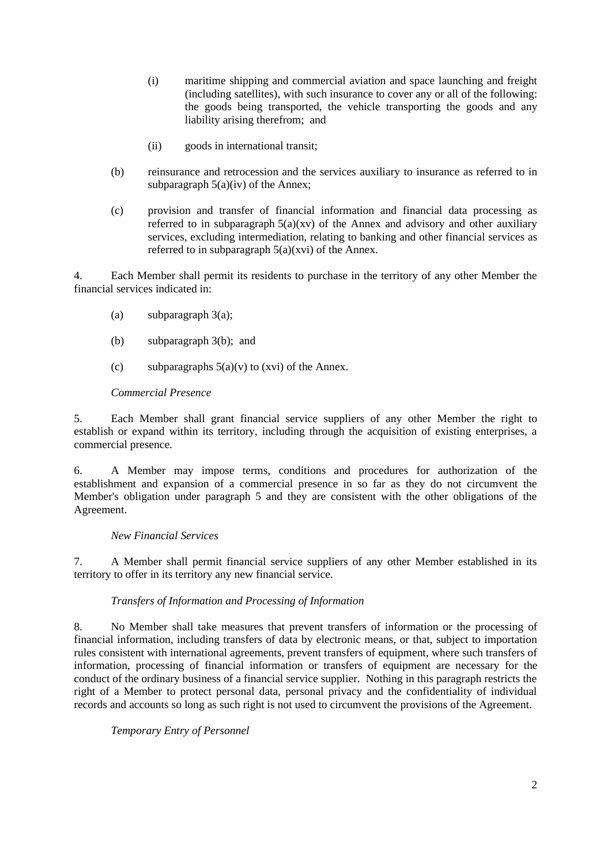- (i) maritime shipping and commercial aviation and space launching and freight (including satellites), with such insurance to cover any or all of the following: the goods being transported, the vehicle transporting the goods and any liability arising therefrom; and
- (ii) goods in international transit;
- (b) reinsurance and retrocession and the services auxiliary to insurance as referred to in subparagraph 5(a)(iv) of the Annex;
- (c) provision and transfer of financial information and financial data processing as referred to in subparagraph 5(a)(xv) of the Annex and advisory and other auxiliary services, excluding intermediation, relating to banking and other financial services as referred to in subparagraph 5(a)(xvi) of the Annex.

4. Each Member shall permit its residents to purchase in the territory of any other Member the financial services indicated in:

- (a) subparagraph 3(a);
- (b) subparagraph 3(b); and
- (c) subparagraphs  $5(a)(v)$  to (xvi) of the Annex.

## *Commercial Presence*

5. Each Member shall grant financial service suppliers of any other Member the right to establish or expand within its territory, including through the acquisition of existing enterprises, a commercial presence.

6. A Member may impose terms, conditions and procedures for authorization of the establishment and expansion of a commercial presence in so far as they do not circumvent the Member's obligation under paragraph 5 and they are consistent with the other obligations of the Agreement.

#### *New Financial Services*

7. A Member shall permit financial service suppliers of any other Member established in its territory to offer in its territory any new financial service.

#### *Transfers of Information and Processing of Information*

8. No Member shall take measures that prevent transfers of information or the processing of financial information, including transfers of data by electronic means, or that, subject to importation rules consistent with international agreements, prevent transfers of equipment, where such transfers of information, processing of financial information or transfers of equipment are necessary for the conduct of the ordinary business of a financial service supplier. Nothing in this paragraph restricts the right of a Member to protect personal data, personal privacy and the confidentiality of individual records and accounts so long as such right is not used to circumvent the provisions of the Agreement.

*Temporary Entry of Personnel*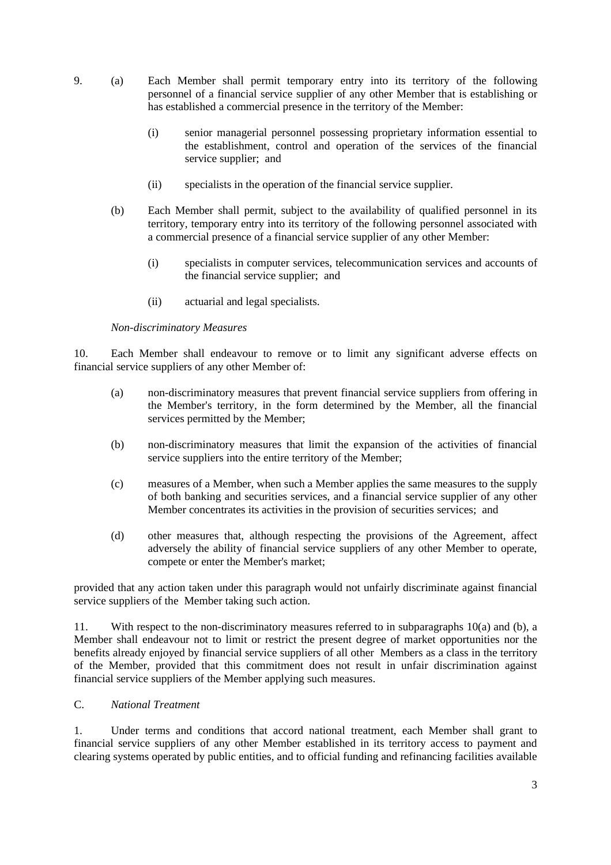- 9. (a) Each Member shall permit temporary entry into its territory of the following personnel of a financial service supplier of any other Member that is establishing or has established a commercial presence in the territory of the Member:
	- (i) senior managerial personnel possessing proprietary information essential to the establishment, control and operation of the services of the financial service supplier; and
	- (ii) specialists in the operation of the financial service supplier.
	- (b) Each Member shall permit, subject to the availability of qualified personnel in its territory, temporary entry into its territory of the following personnel associated with a commercial presence of a financial service supplier of any other Member:
		- (i) specialists in computer services, telecommunication services and accounts of the financial service supplier; and
		- (ii) actuarial and legal specialists.

## *Non-discriminatory Measures*

10. Each Member shall endeavour to remove or to limit any significant adverse effects on financial service suppliers of any other Member of:

- (a) non-discriminatory measures that prevent financial service suppliers from offering in the Member's territory, in the form determined by the Member, all the financial services permitted by the Member;
- (b) non-discriminatory measures that limit the expansion of the activities of financial service suppliers into the entire territory of the Member;
- (c) measures of a Member, when such a Member applies the same measures to the supply of both banking and securities services, and a financial service supplier of any other Member concentrates its activities in the provision of securities services; and
- (d) other measures that, although respecting the provisions of the Agreement, affect adversely the ability of financial service suppliers of any other Member to operate, compete or enter the Member's market;

provided that any action taken under this paragraph would not unfairly discriminate against financial service suppliers of the Member taking such action.

11. With respect to the non-discriminatory measures referred to in subparagraphs 10(a) and (b), a Member shall endeavour not to limit or restrict the present degree of market opportunities nor the benefits already enjoyed by financial service suppliers of all other Members as a class in the territory of the Member, provided that this commitment does not result in unfair discrimination against financial service suppliers of the Member applying such measures.

#### C. *National Treatment*

1. Under terms and conditions that accord national treatment, each Member shall grant to financial service suppliers of any other Member established in its territory access to payment and clearing systems operated by public entities, and to official funding and refinancing facilities available

3